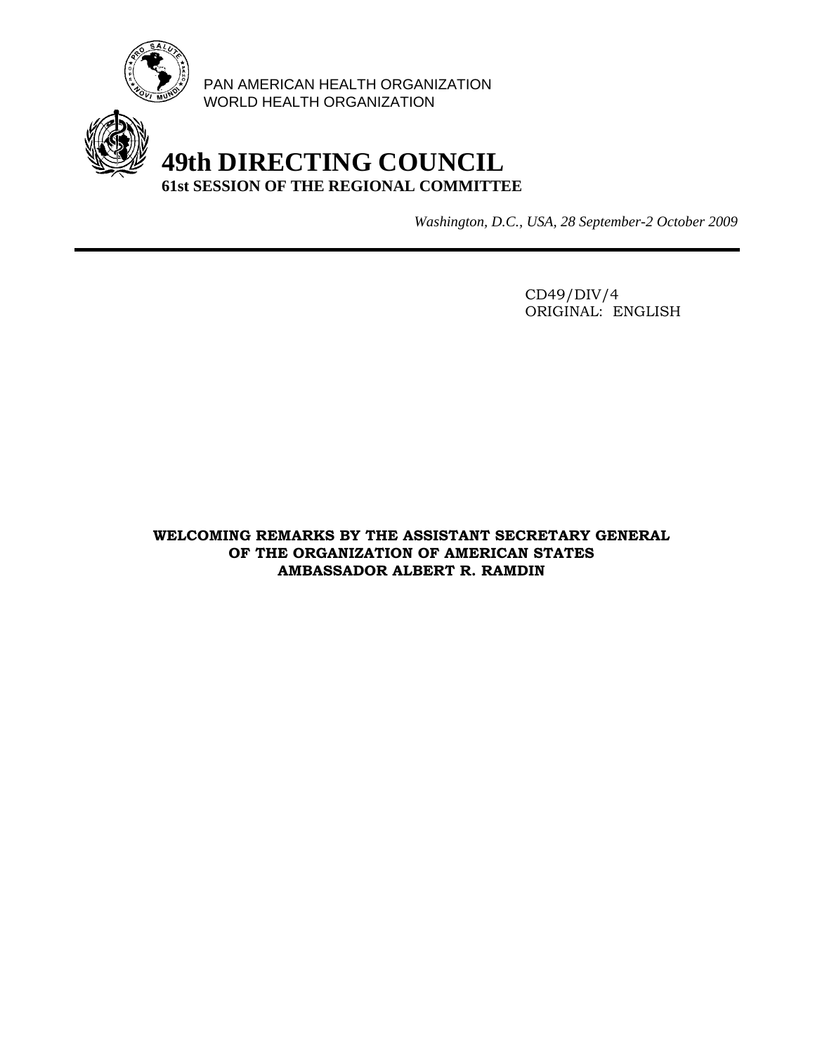

PAN AMERICAN HEALTH ORGANIZATION WORLD HEALTH ORGANIZATION

## **49th DIRECTING COUNCIL 61st SESSION OF THE REGIONAL COMMITTEE**

*Washington, D.C., USA, 28 September-2 October 2009*

 CD49/DIV/4 ORIGINAL: ENGLISH

**WELCOMING REMARKS BY THE ASSISTANT SECRETARY GENERAL OF THE ORGANIZATION OF AMERICAN STATES AMBASSADOR ALBERT R. RAMDIN**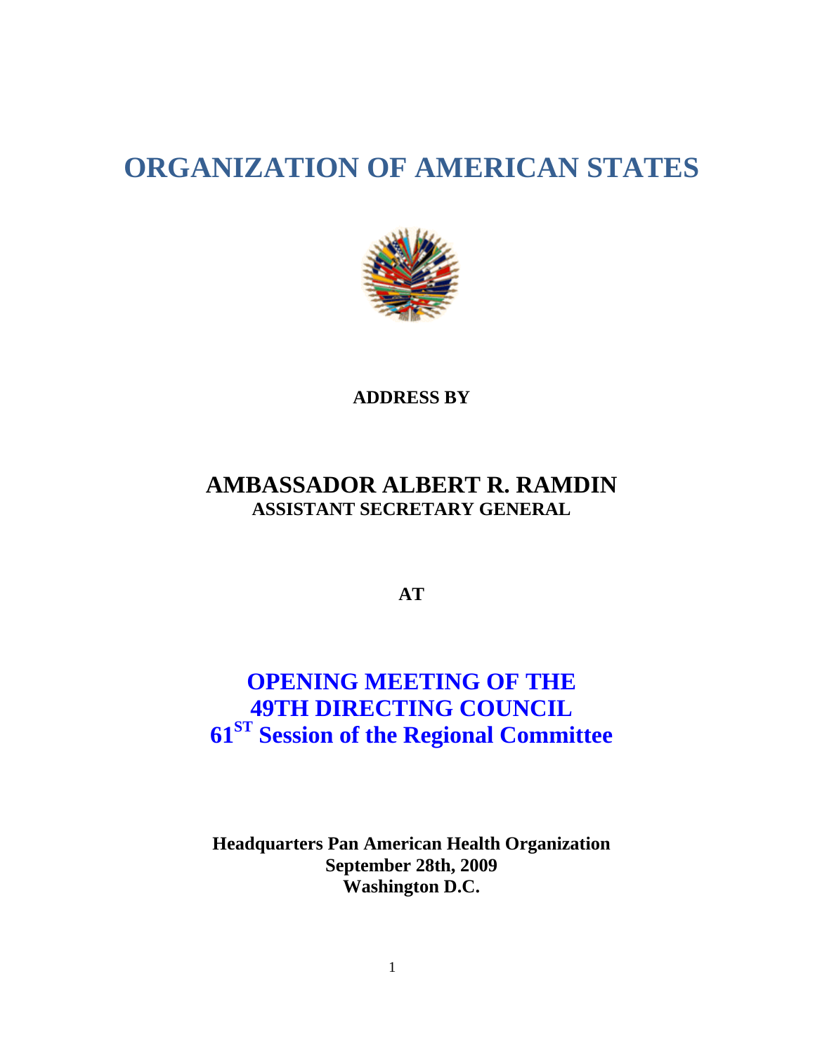# **ORGANIZATION OF AMERICAN STATES**



#### **ADDRESS BY**

### **AMBASSADOR ALBERT R. RAMDIN ASSISTANT SECRETARY GENERAL**

**AT** 

## **OPENING MEETING OF THE 49TH DIRECTING COUNCIL 61ST Session of the Regional Committee**

**Headquarters Pan American Health Organization September 28th, 2009 Washington D.C.**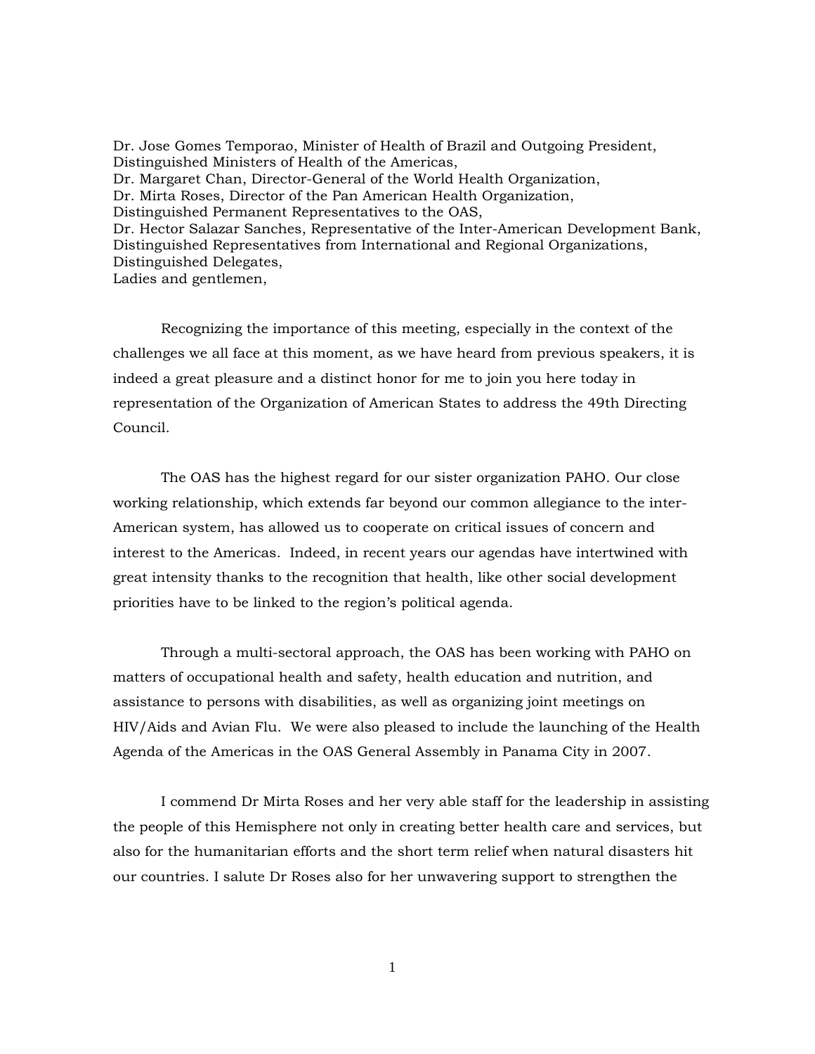Dr. Jose Gomes Temporao, Minister of Health of Brazil and Outgoing President, Distinguished Ministers of Health of the Americas, Dr. Margaret Chan, Director-General of the World Health Organization, Dr. Mirta Roses, Director of the Pan American Health Organization, Distinguished Permanent Representatives to the OAS, Dr. Hector Salazar Sanches, Representative of the Inter-American Development Bank, Distinguished Representatives from International and Regional Organizations, Distinguished Delegates, Ladies and gentlemen,

Recognizing the importance of this meeting, especially in the context of the challenges we all face at this moment, as we have heard from previous speakers, it is indeed a great pleasure and a distinct honor for me to join you here today in representation of the Organization of American States to address the 49th Directing Council.

The OAS has the highest regard for our sister organization PAHO. Our close working relationship, which extends far beyond our common allegiance to the inter-American system, has allowed us to cooperate on critical issues of concern and interest to the Americas. Indeed, in recent years our agendas have intertwined with great intensity thanks to the recognition that health, like other social development priorities have to be linked to the region's political agenda.

Through a multi-sectoral approach, the OAS has been working with PAHO on matters of occupational health and safety, health education and nutrition, and assistance to persons with disabilities, as well as organizing joint meetings on HIV/Aids and Avian Flu. We were also pleased to include the launching of the Health Agenda of the Americas in the OAS General Assembly in Panama City in 2007.

I commend Dr Mirta Roses and her very able staff for the leadership in assisting the people of this Hemisphere not only in creating better health care and services, but also for the humanitarian efforts and the short term relief when natural disasters hit our countries. I salute Dr Roses also for her unwavering support to strengthen the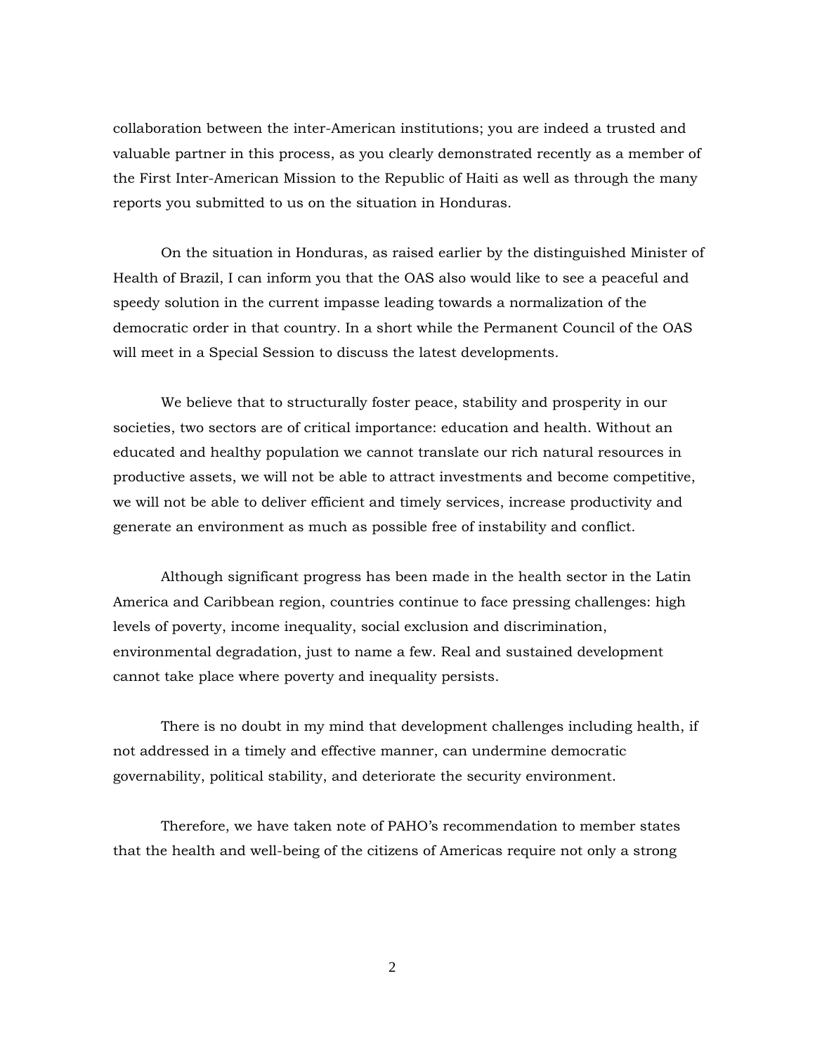collaboration between the inter-American institutions; you are indeed a trusted and valuable partner in this process, as you clearly demonstrated recently as a member of the First Inter-American Mission to the Republic of Haiti as well as through the many reports you submitted to us on the situation in Honduras.

On the situation in Honduras, as raised earlier by the distinguished Minister of Health of Brazil, I can inform you that the OAS also would like to see a peaceful and speedy solution in the current impasse leading towards a normalization of the democratic order in that country. In a short while the Permanent Council of the OAS will meet in a Special Session to discuss the latest developments.

We believe that to structurally foster peace, stability and prosperity in our societies, two sectors are of critical importance: education and health. Without an educated and healthy population we cannot translate our rich natural resources in productive assets, we will not be able to attract investments and become competitive, we will not be able to deliver efficient and timely services, increase productivity and generate an environment as much as possible free of instability and conflict.

Although significant progress has been made in the health sector in the Latin America and Caribbean region, countries continue to face pressing challenges: high levels of poverty, income inequality, social exclusion and discrimination, environmental degradation, just to name a few. Real and sustained development cannot take place where poverty and inequality persists.

There is no doubt in my mind that development challenges including health, if not addressed in a timely and effective manner, can undermine democratic governability, political stability, and deteriorate the security environment.

Therefore, we have taken note of PAHO's recommendation to member states that the health and well-being of the citizens of Americas require not only a strong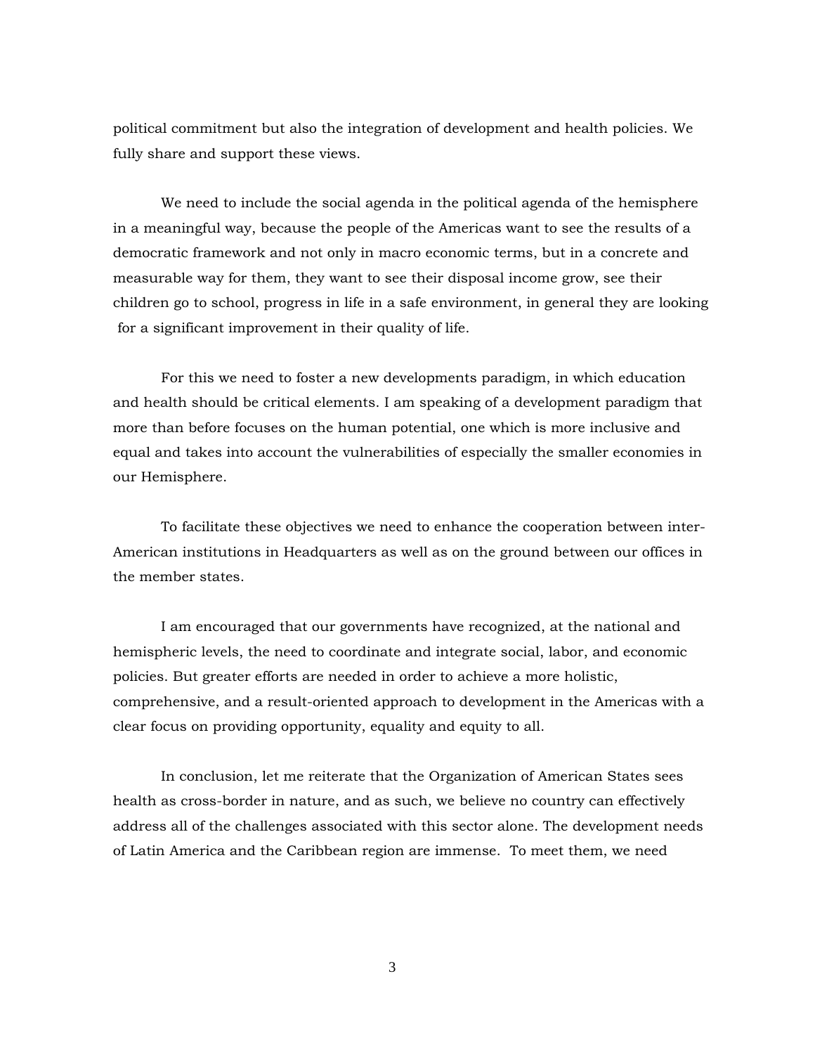political commitment but also the integration of development and health policies. We fully share and support these views.

We need to include the social agenda in the political agenda of the hemisphere in a meaningful way, because the people of the Americas want to see the results of a democratic framework and not only in macro economic terms, but in a concrete and measurable way for them, they want to see their disposal income grow, see their children go to school, progress in life in a safe environment, in general they are looking for a significant improvement in their quality of life.

For this we need to foster a new developments paradigm, in which education and health should be critical elements. I am speaking of a development paradigm that more than before focuses on the human potential, one which is more inclusive and equal and takes into account the vulnerabilities of especially the smaller economies in our Hemisphere.

To facilitate these objectives we need to enhance the cooperation between inter-American institutions in Headquarters as well as on the ground between our offices in the member states.

I am encouraged that our governments have recognized, at the national and hemispheric levels, the need to coordinate and integrate social, labor, and economic policies. But greater efforts are needed in order to achieve a more holistic, comprehensive, and a result-oriented approach to development in the Americas with a clear focus on providing opportunity, equality and equity to all.

In conclusion, let me reiterate that the Organization of American States sees health as cross-border in nature, and as such, we believe no country can effectively address all of the challenges associated with this sector alone. The development needs of Latin America and the Caribbean region are immense. To meet them, we need